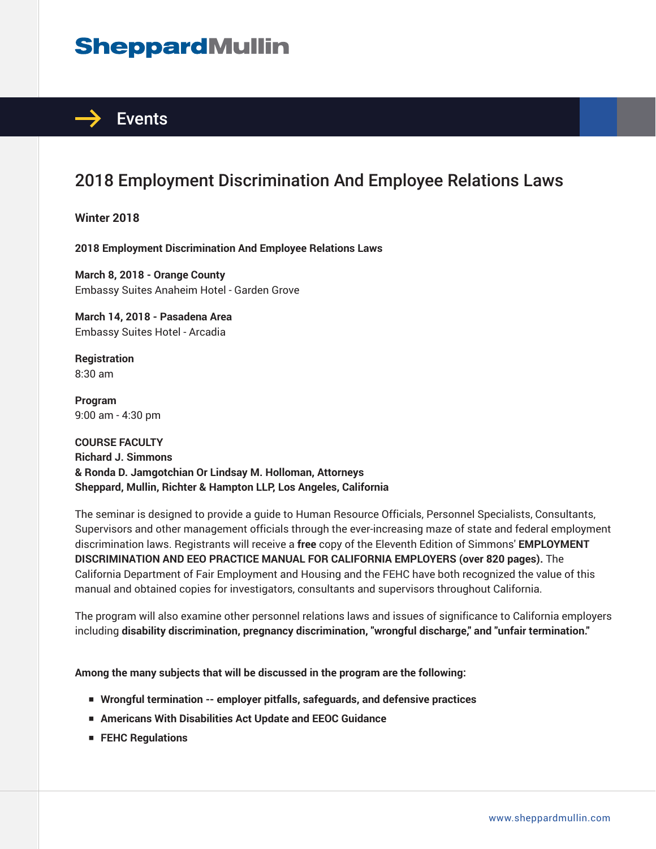## **SheppardMullin**



## 2018 Employment Discrimination And Employee Relations Laws

**Winter 2018**

**2018 Employment Discrimination And Employee Relations Laws**

**March 8, 2018 - Orange County** Embassy Suites Anaheim Hotel - Garden Grove

**March 14, 2018 - Pasadena Area** Embassy Suites Hotel - Arcadia

**Registration** 8:30 am

**Program** 9:00 am - 4:30 pm

**COURSE FACULTY Richard J. Simmons & Ronda D. Jamgotchian Or Lindsay M. Holloman, Attorneys Sheppard, Mullin, Richter & Hampton LLP, Los Angeles, California**

The seminar is designed to provide a guide to Human Resource Officials, Personnel Specialists, Consultants, Supervisors and other management officials through the ever-increasing maze of state and federal employment discrimination laws. Registrants will receive a **free** copy of the Eleventh Edition of Simmons' **EMPLOYMENT DISCRIMINATION AND EEO PRACTICE MANUAL FOR CALIFORNIA EMPLOYERS (over 820 pages).** The California Department of Fair Employment and Housing and the FEHC have both recognized the value of this manual and obtained copies for investigators, consultants and supervisors throughout California.

The program will also examine other personnel relations laws and issues of significance to California employers including **disability discrimination, pregnancy discrimination, "wrongful discharge," and "unfair termination."**

**Among the many subjects that will be discussed in the program are the following:**

- Wrongful termination -- employer pitfalls, safeguards, and defensive practices
- **Americans With Disabilities Act Update and EEOC Guidance**
- **FEHC Regulations**